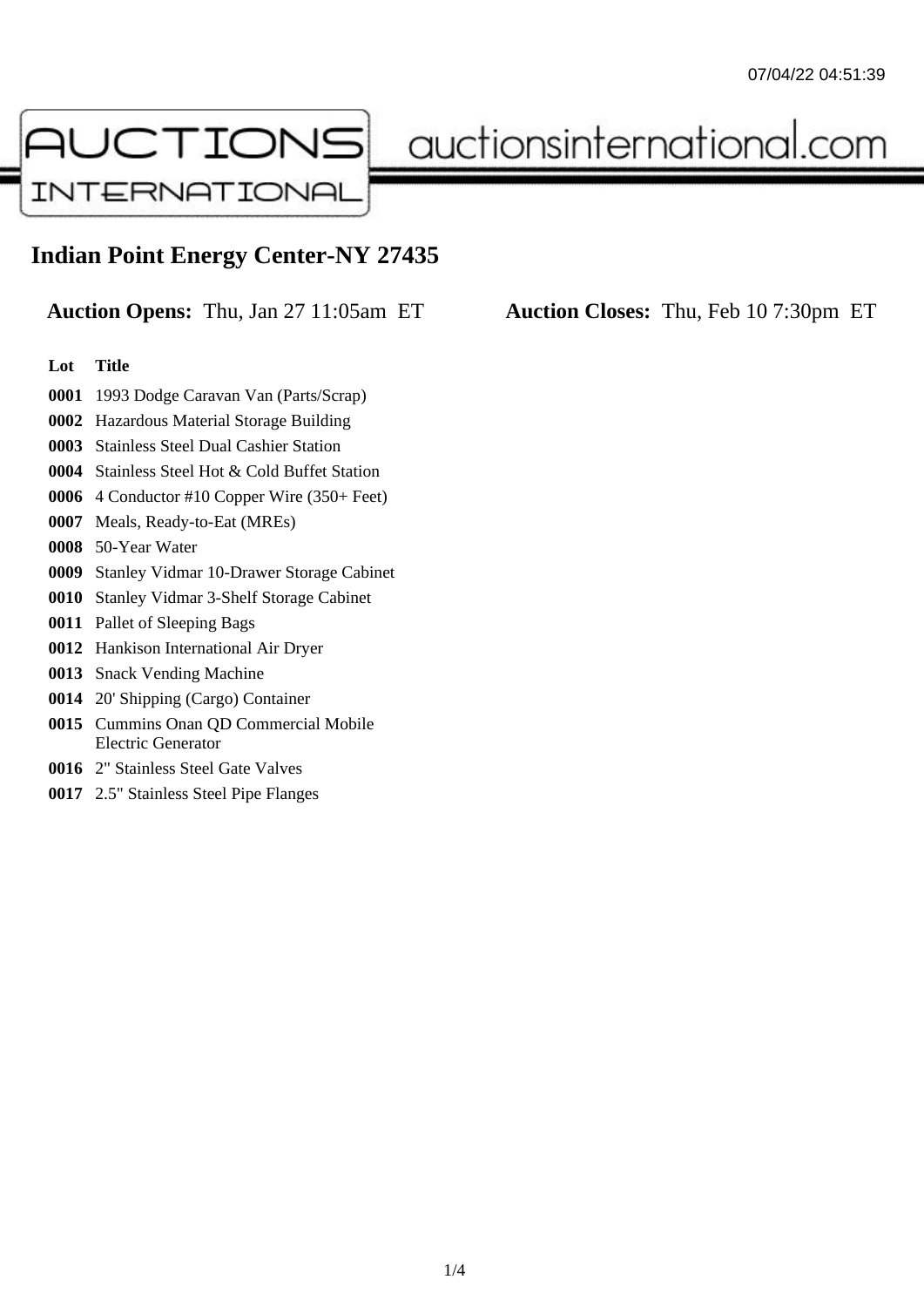

auctionsinternational.com

## **Indian Point Energy Center-NY 27435**

**Auction Opens:** Thu, Jan 27 11:05am ET **Auction Closes:** Thu, Feb 10 7:30pm ET

## **Lot Title**

- 1993 Dodge Caravan Van (Parts/Scrap)
- Hazardous Material Storage Building
- Stainless Steel Dual Cashier Station
- Stainless Steel Hot & Cold Buffet Station
- 4 Conductor #10 Copper Wire (350+ Feet)
- Meals, Ready-to-Eat (MREs)
- 50-Year Water
- Stanley Vidmar 10-Drawer Storage Cabinet
- Stanley Vidmar 3-Shelf Storage Cabinet
- Pallet of Sleeping Bags
- Hankison International Air Dryer
- Snack Vending Machine
- 20' Shipping (Cargo) Container
- Cummins Onan QD Commercial Mobile Electric Generator
- 2" Stainless Steel Gate Valves
- 2.5" Stainless Steel Pipe Flanges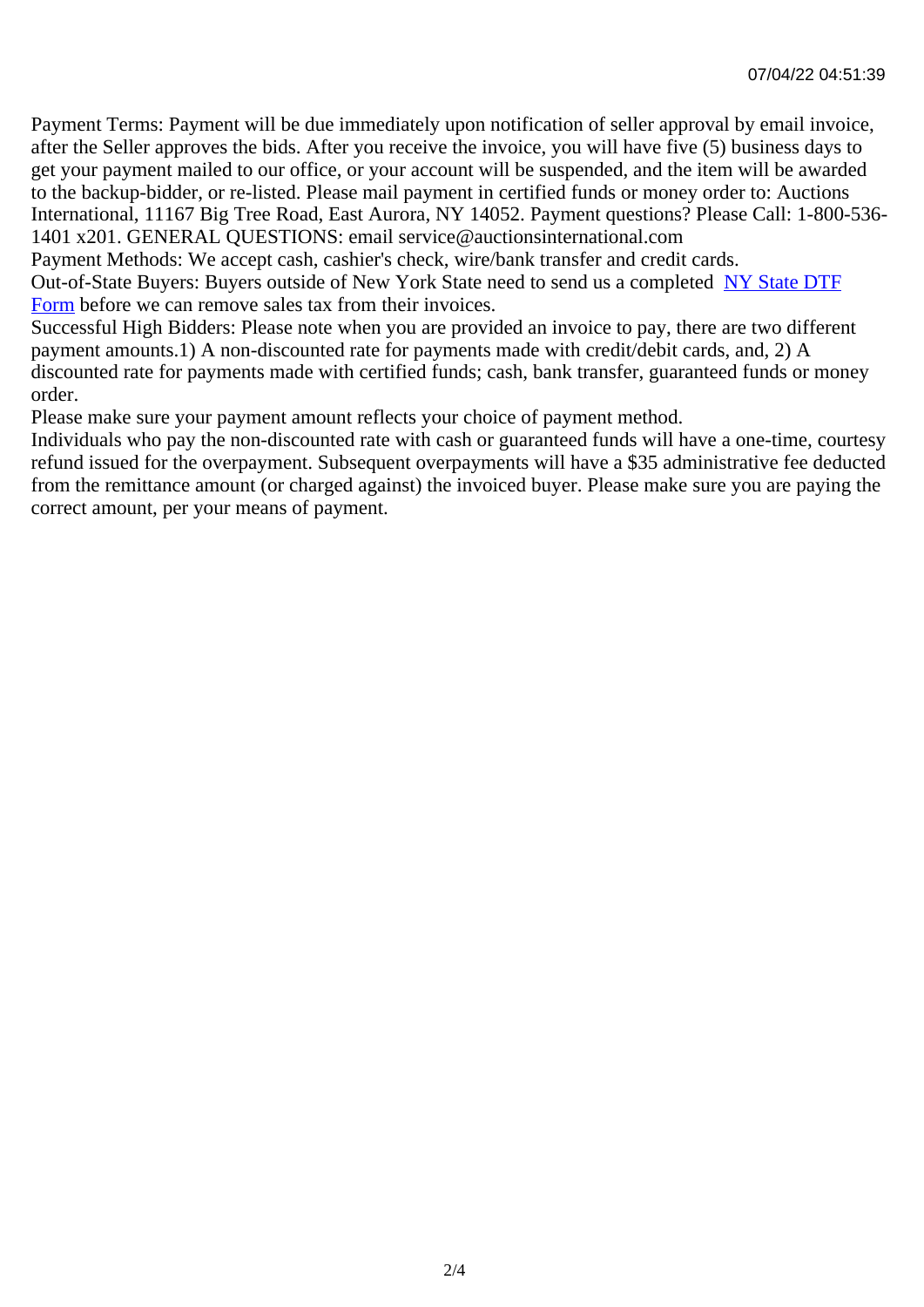Payment Terms: Payment will be due immediately upon notification of seller approval by email invoice, after the Seller approves the bids. After you receive the invoice, you will have five (5) business days to get your payment mailed to our office, or your account will be suspended, and the item will be awarded to the backup-bidder, or re-listed. Please mail payment in certified funds or money order to: Auctions International, 11167 Big Tree Road, East Aurora, NY 14052. Payment questions? Please Call: 1-800-53 1401 x201. GENERAL QUESTIONS: email service@auctionsinternational.com

Payment Methods: We accept cash, cashier's check, wire/bank transfer and credit cards.

Out-of-State Buyers: Buyers outside of New York State need to send us a com blestate DTF Form before we can remove sales tax from their invoices.

Successful High Bidders: Please note when you are provided an invoice to pay, there are two different payment amounts.1) A non-discounted rate for payments made with credit/de[bit cards, and](https://www.auctionsinternational.com/auxiliary/downloads/DTF_Form/dtf_fill_in.pdf), 2) A [disco](https://www.auctionsinternational.com/auxiliary/downloads/DTF_Form/dtf_fill_in.pdf)unted rate for payments made with certified funds; cash, bank transfer, guaranteed funds or mone order.

Please make sure your payment amount reflects your choice of payment method.

Individuals who pay the non-discounted rate with cash or guaranteed funds will have a one-time, courte refund issued for the overpayment. Subsequent overpayments will have a \$35 administrative fee deduc from the remittance amount (or charged against) the invoiced buyer. Please make sure you are paying correct amount, per your means of payment.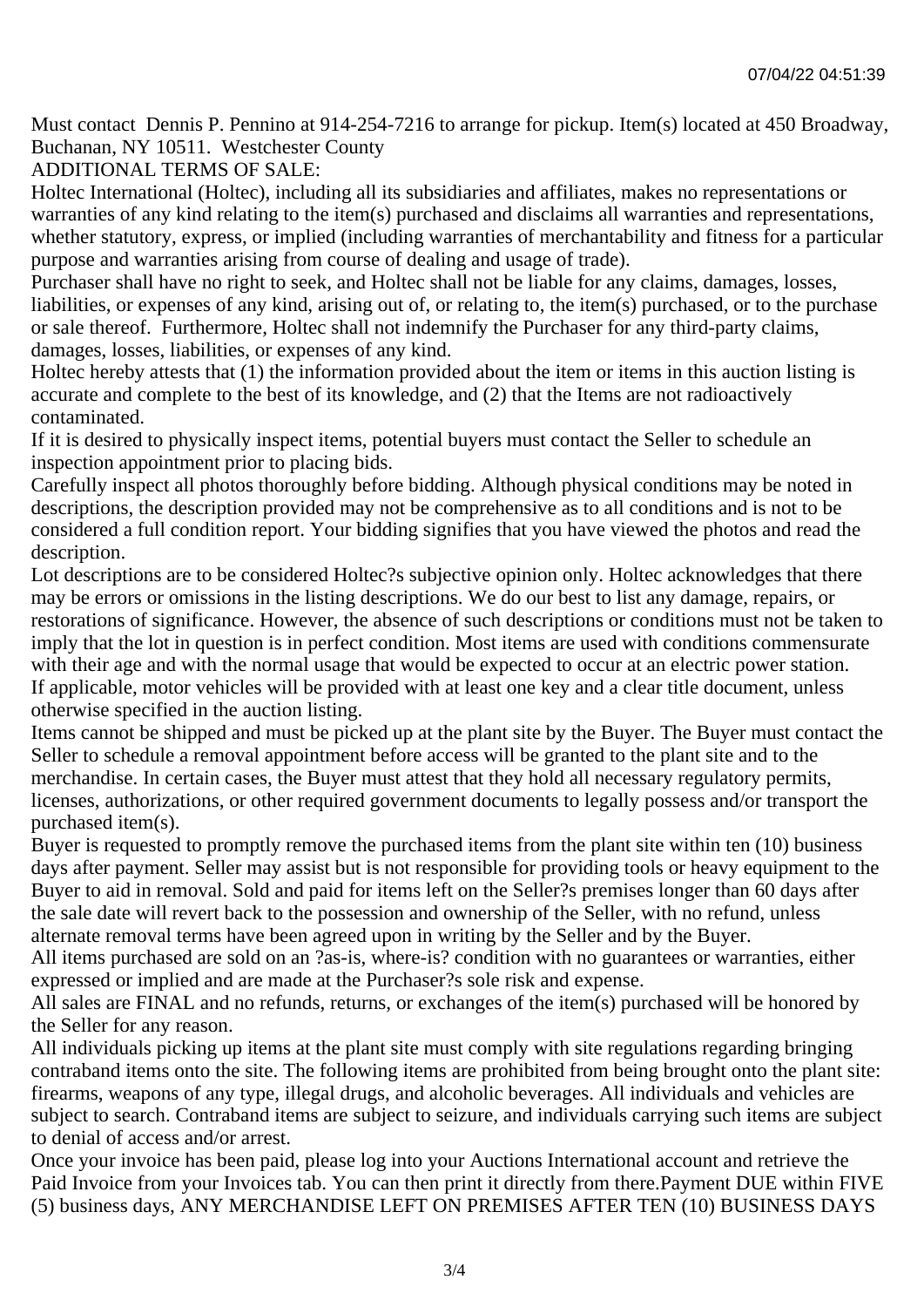Must contact Dennis P. Pennino at 914-254-7216 to arrange for pickup. Item(s) located at 450 Broadway, Buchanan, NY 10511. Westchester County

## ADDITIONAL TERMS OF SALE:

Holtec International (Holtec), including all its subsidiaries and affiliates, makes no representations or warranties of any kind relating to the item(s) purchased and disclaims all warranties and representations, whether statutory, express, or implied (including warranties of merchantability and fitness for a particular purpose and warranties arising from course of dealing and usage of trade).

Purchaser shall have no right to seek, and Holtec shall not be liable for any claims, damages, losses, liabilities, or expenses of any kind, arising out of, or relating to, the item(s) purchased, or to the purchase or sale thereof. Furthermore, Holtec shall not indemnify the Purchaser for any third-party claims, damages, losses, liabilities, or expenses of any kind.

Holtec hereby attests that (1) the information provided about the item or items in this auction listing is accurate and complete to the best of its knowledge, and (2) that the Items are not radioactively contaminated.

If it is desired to physically inspect items, potential buyers must contact the Seller to schedule an inspection appointment prior to placing bids.

Carefully inspect all photos thoroughly before bidding. Although physical conditions may be noted in descriptions, the description provided may not be comprehensive as to all conditions and is not to be considered a full condition report. Your bidding signifies that you have viewed the photos and read the description.

Lot descriptions are to be considered Holtec?s subjective opinion only. Holtec acknowledges that there may be errors or omissions in the listing descriptions. We do our best to list any damage, repairs, or restorations of significance. However, the absence of such descriptions or conditions must not be taken to imply that the lot in question is in perfect condition. Most items are used with conditions commensurate with their age and with the normal usage that would be expected to occur at an electric power station. If applicable, motor vehicles will be provided with at least one key and a clear title document, unless otherwise specified in the auction listing.

Items cannot be shipped and must be picked up at the plant site by the Buyer. The Buyer must contact the Seller to schedule a removal appointment before access will be granted to the plant site and to the merchandise. In certain cases, the Buyer must attest that they hold all necessary regulatory permits, licenses, authorizations, or other required government documents to legally possess and/or transport the purchased item(s).

Buyer is requested to promptly remove the purchased items from the plant site within ten (10) business days after payment. Seller may assist but is not responsible for providing tools or heavy equipment to the Buyer to aid in removal. Sold and paid for items left on the Seller?s premises longer than 60 days after the sale date will revert back to the possession and ownership of the Seller, with no refund, unless alternate removal terms have been agreed upon in writing by the Seller and by the Buyer.

All items purchased are sold on an ?as-is, where-is? condition with no guarantees or warranties, either expressed or implied and are made at the Purchaser?s sole risk and expense.

All sales are FINAL and no refunds, returns, or exchanges of the item(s) purchased will be honored by the Seller for any reason.

All individuals picking up items at the plant site must comply with site regulations regarding bringing contraband items onto the site. The following items are prohibited from being brought onto the plant site: firearms, weapons of any type, illegal drugs, and alcoholic beverages. All individuals and vehicles are subject to search. Contraband items are subject to seizure, and individuals carrying such items are subject to denial of access and/or arrest.

Once your invoice has been paid, please log into your Auctions International account and retrieve the Paid Invoice from your Invoices tab. You can then print it directly from there.Payment DUE within FIVE (5) business days, ANY MERCHANDISE LEFT ON PREMISES AFTER TEN (10) BUSINESS DAYS